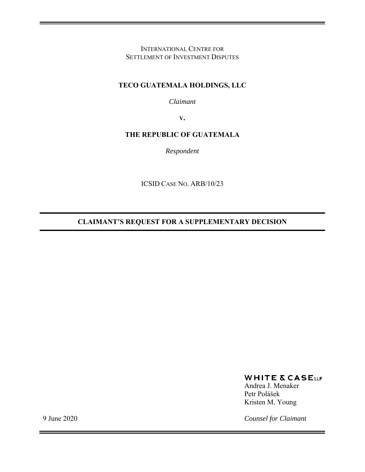INTERNATIONAL CENTRE FOR SETTLEMENT OF INVESTMENT DISPUTES

## **TECO GUATEMALA HOLDINGS, LLC**

*Claimant* 

**V.**

## **THE REPUBLIC OF GUATEMALA**

*Respondent* 

ICSID CASE NO. ARB/10/23

**CLAIMANT'S REQUEST FOR A SUPPLEMENTARY DECISION** 

## **WHITE & CASELLP**

Andrea J. Menaker Petr Polášek Kristen M. Young

*Counsel for Claimant* 

9 June 2020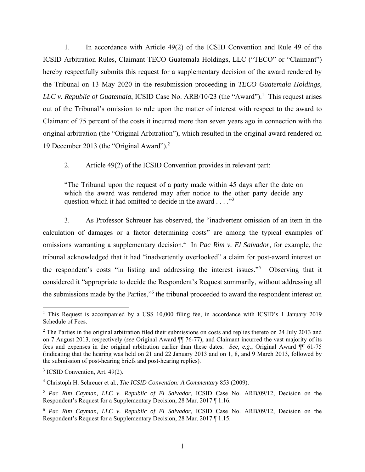1. In accordance with Article 49(2) of the ICSID Convention and Rule 49 of the ICSID Arbitration Rules, Claimant TECO Guatemala Holdings, LLC ("TECO" or "Claimant") hereby respectfully submits this request for a supplementary decision of the award rendered by the Tribunal on 13 May 2020 in the resubmission proceeding in *TECO Guatemala Holdings, LLC v. Republic of Guatemala*, ICSID Case No.  $ARB/10/23$  (the "Award").<sup>1</sup> This request arises out of the Tribunal's omission to rule upon the matter of interest with respect to the award to Claimant of 75 percent of the costs it incurred more than seven years ago in connection with the original arbitration (the "Original Arbitration"), which resulted in the original award rendered on 19 December 2013 (the "Original Award").2

2. Article 49(2) of the ICSID Convention provides in relevant part:

"The Tribunal upon the request of a party made within 45 days after the date on which the award was rendered may after notice to the other party decide any question which it had omitted to decide in the award  $\dots$ ."<sup>3</sup>

3. As Professor Schreuer has observed, the "inadvertent omission of an item in the calculation of damages or a factor determining costs" are among the typical examples of omissions warranting a supplementary decision.4 In *Pac Rim v. El Salvador*, for example, the tribunal acknowledged that it had "inadvertently overlooked" a claim for post-award interest on the respondent's costs "in listing and addressing the interest issues."<sup>5</sup> Observing that it considered it "appropriate to decide the Respondent's Request summarily, without addressing all the submissions made by the Parties,"<sup>6</sup> the tribunal proceeded to award the respondent interest on

1

<sup>&</sup>lt;sup>1</sup> This Request is accompanied by a US\$ 10,000 filing fee, in accordance with ICSID's 1 January 2019 Schedule of Fees.

 $2$  The Parties in the original arbitration filed their submissions on costs and replies thereto on 24 July 2013 and on 7 August 2013, respectively (*see* Original Award ¶¶ 76-77), and Claimant incurred the vast majority of its fees and expenses in the original arbitration earlier than these dates. *See, e.g.*, Original Award ¶¶ 61-75 (indicating that the hearing was held on 21 and 22 January 2013 and on 1, 8, and 9 March 2013, followed by the submission of post-hearing briefs and post-hearing replies).

<sup>&</sup>lt;sup>3</sup> ICSID Convention, Art. 49(2).

<sup>4</sup> Christoph H. Schreuer et al., *The ICSID Convention: A Commentary* 853 (2009).

<sup>5</sup> *Pac Rim Cayman, LLC v. Republic of El Salvador*, ICSID Case No. ARB/09/12, Decision on the Respondent's Request for a Supplementary Decision, 28 Mar. 2017 ¶ 1.16.

<sup>6</sup> *Pac Rim Cayman, LLC v. Republic of El Salvador*, ICSID Case No. ARB/09/12, Decision on the Respondent's Request for a Supplementary Decision, 28 Mar. 2017 ¶ 1.15.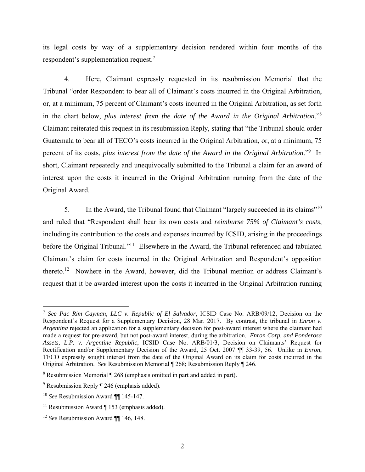its legal costs by way of a supplementary decision rendered within four months of the respondent's supplementation request.7

4. Here, Claimant expressly requested in its resubmission Memorial that the Tribunal "order Respondent to bear all of Claimant's costs incurred in the Original Arbitration, or, at a minimum, 75 percent of Claimant's costs incurred in the Original Arbitration, as set forth in the chart below, *plus interest from the date of the Award in the Original Arbitration*."8 Claimant reiterated this request in its resubmission Reply, stating that "the Tribunal should order Guatemala to bear all of TECO's costs incurred in the Original Arbitration, or, at a minimum, 75 percent of its costs, *plus interest from the date of the Award in the Original Arbitration*."9 In short, Claimant repeatedly and unequivocally submitted to the Tribunal a claim for an award of interest upon the costs it incurred in the Original Arbitration running from the date of the Original Award.

5. In the Award, the Tribunal found that Claimant "largely succeeded in its claims"<sup>10</sup> and ruled that "Respondent shall bear its own costs and *reimburse 75% of Claimant's costs*, including its contribution to the costs and expenses incurred by ICSID, arising in the proceedings before the Original Tribunal."<sup>11</sup> Elsewhere in the Award, the Tribunal referenced and tabulated Claimant's claim for costs incurred in the Original Arbitration and Respondent's opposition thereto.12 Nowhere in the Award, however, did the Tribunal mention or address Claimant's request that it be awarded interest upon the costs it incurred in the Original Arbitration running

 $\overline{a}$ 

<sup>7</sup> *See Pac Rim Cayman, LLC v. Republic of El Salvador*, ICSID Case No. ARB/09/12, Decision on the Respondent's Request for a Supplementary Decision, 28 Mar. 2017. By contrast, the tribunal in *Enron v. Argentina* rejected an application for a supplementary decision for post-award interest where the claimant had made a request for pre-award, but not post-award interest, during the arbitration. *Enron Corp. and Ponderosa Assets, L.P. v. Argentine Republic*, ICSID Case No. ARB/01/3, Decision on Claimants' Request for Rectification and/or Supplementary Decision of the Award, 25 Oct. 2007 ¶¶ 33-39, 56. Unlike in *Enron*, TECO expressly sought interest from the date of the Original Award on its claim for costs incurred in the Original Arbitration. *See* Resubmission Memorial ¶ 268; Resubmission Reply ¶ 246.

<sup>&</sup>lt;sup>8</sup> Resubmission Memorial ¶ 268 (emphasis omitted in part and added in part).

 $9^9$  Resubmission Reply  $\P$  246 (emphasis added).

<sup>10</sup> *See* Resubmission Award ¶¶ 145-147.

<sup>&</sup>lt;sup>11</sup> Resubmission Award  $\P$  153 (emphasis added).

<sup>12</sup> *See* Resubmission Award ¶¶ 146, 148.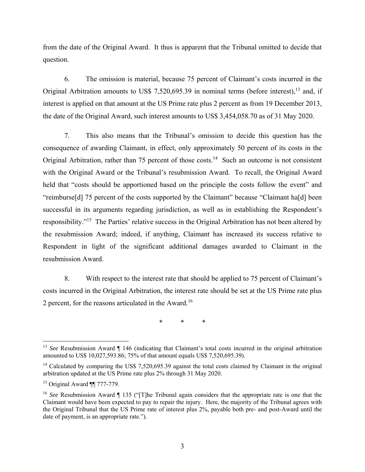from the date of the Original Award. It thus is apparent that the Tribunal omitted to decide that question.

6. The omission is material, because 75 percent of Claimant's costs incurred in the Original Arbitration amounts to US\$ 7,520,695.39 in nominal terms (before interest),<sup>13</sup> and, if interest is applied on that amount at the US Prime rate plus 2 percent as from 19 December 2013, the date of the Original Award, such interest amounts to US\$ 3,454,058.70 as of 31 May 2020.

7. This also means that the Tribunal's omission to decide this question has the consequence of awarding Claimant, in effect, only approximately 50 percent of its costs in the Original Arbitration, rather than 75 percent of those costs.<sup>14</sup> Such an outcome is not consistent with the Original Award or the Tribunal's resubmission Award. To recall, the Original Award held that "costs should be apportioned based on the principle the costs follow the event" and "reimburse[d] 75 percent of the costs supported by the Claimant" because "Claimant ha[d] been successful in its arguments regarding jurisdiction, as well as in establishing the Respondent's responsibility."15 The Parties' relative success in the Original Arbitration has not been altered by the resubmission Award; indeed, if anything, Claimant has increased its success relative to Respondent in light of the significant additional damages awarded to Claimant in the resubmission Award.

8. With respect to the interest rate that should be applied to 75 percent of Claimant's costs incurred in the Original Arbitration, the interest rate should be set at the US Prime rate plus 2 percent, for the reasons articulated in the Award.16

\* \* \*

 $\overline{a}$ 

<sup>&</sup>lt;sup>13</sup> *See* Resubmission Award ¶ 146 (indicating that Claimant's total costs incurred in the original arbitration amounted to US\$ 10,027,593.86; 75% of that amount equals US\$ 7,520,695.39).

<sup>&</sup>lt;sup>14</sup> Calculated by comparing the US\$ 7,520,695.39 against the total costs claimed by Claimant in the original arbitration updated at the US Prime rate plus 2% through 31 May 2020.

<sup>&</sup>lt;sup>15</sup> Original Award  $\P$  777-779.

<sup>16</sup> *See* Resubmission Award ¶ 135 ("[T]he Tribunal again considers that the appropriate rate is one that the Claimant would have been expected to pay to repair the injury. Here, the majority of the Tribunal agrees with the Original Tribunal that the US Prime rate of interest plus 2%, payable both pre- and post-Award until the date of payment, is an appropriate rate.").